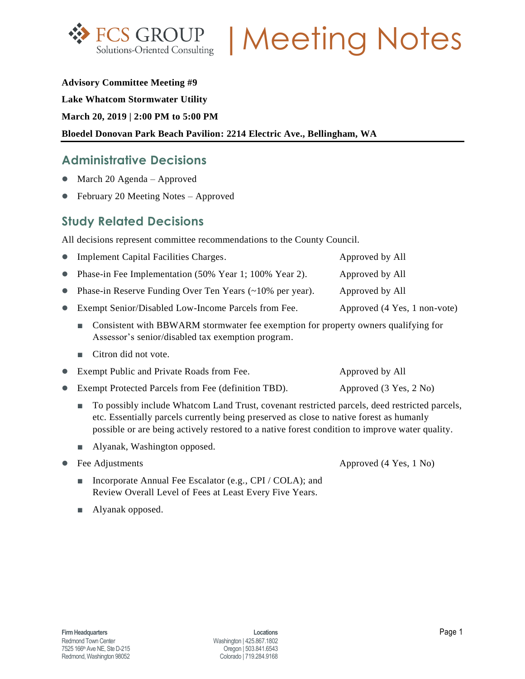

**FCS GROUP | Meeting Notes** 

#### **Advisory Committee Meeting #9**

#### **Lake Whatcom Stormwater Utility**

**March 20, 2019 | 2:00 PM to 5:00 PM**

### **Bloedel Donovan Park Beach Pavilion: 2214 Electric Ave., Bellingham, WA**

## **Administrative Decisions**

- March 20 Agenda Approved
- February 20 Meeting Notes Approved

# **Study Related Decisions**

All decisions represent committee recommendations to the County Council.

| • Implement Capital Facilities Charges.                           | Approved by All              |
|-------------------------------------------------------------------|------------------------------|
| • Phase-in Fee Implementation (50% Year 1; 100% Year 2).          | Approved by All              |
| • Phase-in Reserve Funding Over Ten Years $(\sim 10\%$ per year). | Approved by All              |
| • Exempt Senior/Disabled Low-Income Parcels from Fee.             | Approved (4 Yes, 1 non-vote) |
|                                                                   |                              |

- Consistent with BBWARM stormwater fee exemption for property owners qualifying for Assessor's senior/disabled tax exemption program.
- Citron did not vote.
- Exempt Public and Private Roads from Fee. Approved by All
- Exempt Protected Parcels from Fee (definition TBD). Approved (3 Yes, 2 No)
	- To possibly include Whatcom Land Trust, covenant restricted parcels, deed restricted parcels, etc. Essentially parcels currently being preserved as close to native forest as humanly possible or are being actively restored to a native forest condition to improve water quality.
	- Alyanak, Washington opposed.
- 

• Fee Adjustments **Approved (4 Yes, 1 No)** 

- Incorporate Annual Fee Escalator (e.g., CPI / COLA); and Review Overall Level of Fees at Least Every Five Years.
- **■** Alyanak opposed.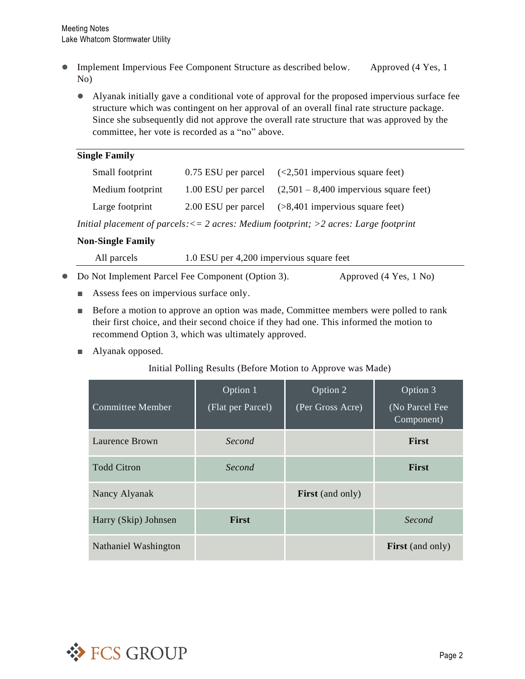- Implement Impervious Fee Component Structure as described below. Approved (4 Yes, 1) No)
	- Alyanak initially gave a conditional vote of approval for the proposed impervious surface fee structure which was contingent on her approval of an overall final rate structure package. Since she subsequently did not approve the overall rate structure that was approved by the committee, her vote is recorded as a "no" above.

| <b>Single Family</b>                                                                         |                     |                                                               |  |  |  |  |
|----------------------------------------------------------------------------------------------|---------------------|---------------------------------------------------------------|--|--|--|--|
| Small footprint                                                                              | 0.75 ESU per parcel | $\left( <2,501 \right)$ impervious square feet)               |  |  |  |  |
| Medium footprint                                                                             |                     | 1.00 ESU per parcel $(2,501 - 8,400)$ impervious square feet) |  |  |  |  |
| Large footprint                                                                              | 2.00 ESU per parcel | $($ >8,401 impervious square feet)                            |  |  |  |  |
| Initial placement of parcels: $\lt=$ 2 acres: Medium footprint; $>$ 2 acres: Large footprint |                     |                                                               |  |  |  |  |

### **Non-Single Family**

| All parcels | 1.0 ESU per 4,200 impervious square feet |  |
|-------------|------------------------------------------|--|
|             |                                          |  |

- Do Not Implement Parcel Fee Component (Option 3). Approved (4 Yes, 1 No)
	-

- Assess fees on impervious surface only.
- Before a motion to approve an option was made, Committee members were polled to rank their first choice, and their second choice if they had one. This informed the motion to recommend Option 3, which was ultimately approved.
- **■** Alyanak opposed.

### Initial Polling Results (Before Motion to Approve was Made)

| Committee Member     | Option 1<br>(Flat per Parcel) | Option 2<br>(Per Gross Acre) | Option 3<br>(No Parcel Fee<br>Component) |
|----------------------|-------------------------------|------------------------------|------------------------------------------|
| Laurence Brown       | Second                        |                              | <b>First</b>                             |
| <b>Todd Citron</b>   | Second                        |                              | First                                    |
| Nancy Alyanak        |                               | <b>First</b> (and only)      |                                          |
| Harry (Skip) Johnsen | <b>First</b>                  |                              | Second                                   |
| Nathaniel Washington |                               |                              | <b>First</b> (and only)                  |